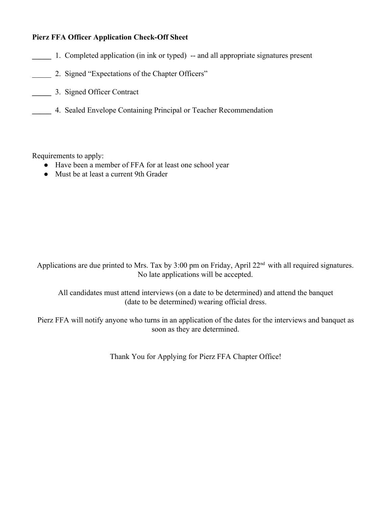## **Pierz FFA Officer Application Check-Off Sheet**

- **1.** Completed application (in ink or typed) -- and all appropriate signatures present
- \_\_\_\_\_ 2. Signed "Expectations of the Chapter Officers"
- **\_\_\_\_\_** 3. Signed Officer Contract
- **\_\_\_\_\_** 4. Sealed Envelope Containing Principal or Teacher Recommendation

Requirements to apply:

- Have been a member of FFA for at least one school year
- Must be at least a current 9th Grader

Applications are due printed to Mrs. Tax by  $3:00$  pm on Friday, April  $22<sup>nd</sup>$  with all required signatures. No late applications will be accepted.

All candidates must attend interviews (on a date to be determined) and attend the banquet (date to be determined) wearing official dress.

Pierz FFA will notify anyone who turns in an application of the dates for the interviews and banquet as soon as they are determined.

Thank You for Applying for Pierz FFA Chapter Office!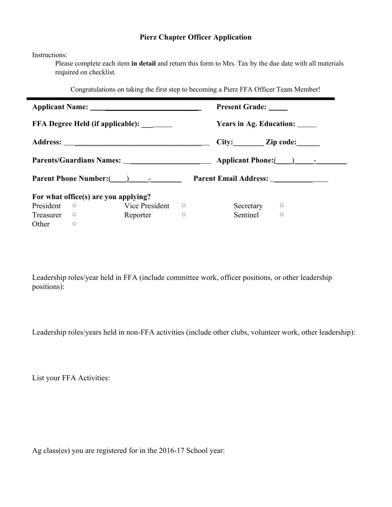### **Pierz Chapter Officer Application**

Instructions:

Please complete each item **in detail**and return this form to Mrs. Tax by the due date with all materials required on checklist.

Congratulations on taking the first step to becoming a Pierz FFA Officer Team Member!

|                                                                    |        |                |        |                 | <b>Present Grade:</b>         |  |  |
|--------------------------------------------------------------------|--------|----------------|--------|-----------------|-------------------------------|--|--|
| FFA Degree Held (if applicable): ______                            |        |                |        |                 | Years in Ag. Education: _____ |  |  |
|                                                                    |        |                |        | City: Zip code: |                               |  |  |
|                                                                    |        |                |        |                 |                               |  |  |
| Parent Phone Number: (a)<br>Parent Email Address: ________________ |        |                |        |                 |                               |  |  |
| For what office(s) are you applying?                               |        |                |        |                 |                               |  |  |
| President                                                          | $\Box$ | Vice President | $\Box$ | Secretary       | $\Box$                        |  |  |
| Treasurer                                                          | $\Box$ | Reporter       | $\Box$ | Sentinel        | 0                             |  |  |
| Other                                                              | $\cup$ |                |        |                 |                               |  |  |

Leadership roles/year held in FFA (include committee work, officer positions, or other leadership positions):

Leadership roles/years held in non-FFA activities (include other clubs, volunteer work, other leadership):

List your FFA Activities:

Ag class(es) you are registered for in the 2016-17 School year: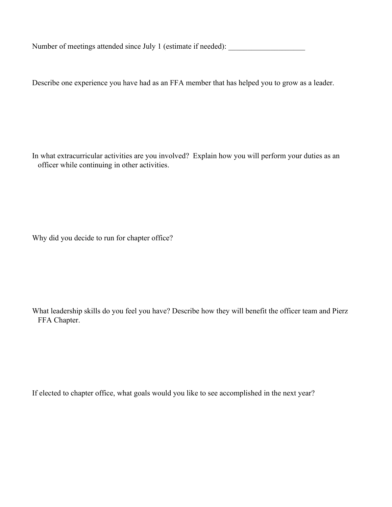Number of meetings attended since July 1 (estimate if needed):

Describe one experience you have had as an FFA member that has helped you to grow as a leader.

In what extracurricular activities are you involved? Explain how you will perform your duties as an officer while continuing in other activities.

Why did you decide to run for chapter office?

What leadership skills do you feel you have? Describe how they will benefit the officer team and Pierz FFA Chapter.

If elected to chapter office, what goals would you like to see accomplished in the next year?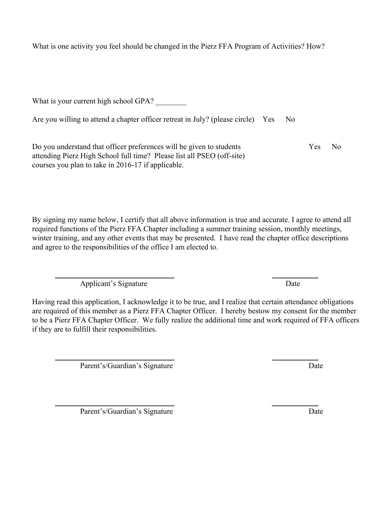What is one activity you feel should be changed in the Pierz FFA Program of Activities? How?

What is your current high school GPA?

|  | Are you willing to attend a chapter officer retreat in July? (please circle) Yes No |  |  |  |
|--|-------------------------------------------------------------------------------------|--|--|--|
|  |                                                                                     |  |  |  |

Do you understand that officer preferences will be given to students Yes No attending Pierz High School full time? Please list all PSEO (off-site) courses you plan to take in 2016-17 if applicable.

By signing my name below, I certify that all above information is true and accurate. I agree to attend all required functions of the Pierz FFA Chapter including a summer training session, monthly meetings, winter training, and any other events that may be presented. I have read the chapter office descriptions and agree to the responsibilities of the office I am elected to.

\_\_\_\_\_\_\_\_\_\_\_\_\_\_\_\_\_\_\_\_\_\_\_\_\_\_\_\_\_\_\_ \_\_\_\_\_\_\_\_\_\_\_\_ Applicant's Signature Date

Having read this application, I acknowledge it to be true, and I realize that certain attendance obligations are required of this member as a Pierz FFA Chapter Officer. I hereby bestow my consent for the member to be a Pierz FFA Chapter Officer. We fully realize the additional time and work required of FFA officers if they are to fulfill their responsibilities.

\_\_\_\_\_\_\_\_\_\_\_\_\_\_\_\_\_\_\_\_\_\_\_\_\_\_\_\_\_\_\_ \_\_\_\_\_\_\_\_\_\_\_\_

Parent's/Guardian's Signature Date

Parent's/Guardian's Signature Date

\_\_\_\_\_\_\_\_\_\_\_\_\_\_\_\_\_\_\_\_\_\_\_\_\_\_\_\_\_\_\_ \_\_\_\_\_\_\_\_\_\_\_\_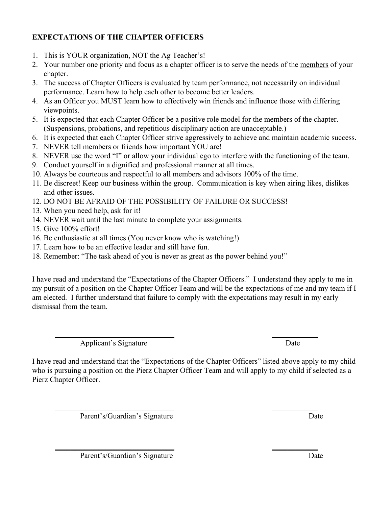# **EXPECTATIONS OF THE CHAPTER OFFICERS**

- 1. This is YOUR organization, NOT the Ag Teacher's!
- 2. Your number one priority and focus as a chapter officer is to serve the needs of the members of your chapter.
- 3. The success of Chapter Officers is evaluated by team performance, not necessarily on individual performance. Learn how to help each other to become better leaders.
- 4. As an Officer you MUST learn how to effectively win friends and influence those with differing viewpoints.
- 5. It is expected that each Chapter Officer be a positive role model for the members of the chapter. (Suspensions, probations, and repetitious disciplinary action are unacceptable.)
- 6. It is expected that each Chapter Officer strive aggressively to achieve and maintain academic success.
- 7. NEVER tell members or friends how important YOU are!
- 8. NEVER use the word "I" or allow your individual ego to interfere with the functioning of the team.
- 9. Conduct yourself in a dignified and professional manner at all times.
- 10. Always be courteous and respectful to all members and advisors 100% of the time.
- 11. Be discreet! Keep our business within the group. Communication is key when airing likes, dislikes and other issues.
- 12. DO NOT BE AFRAID OF THE POSSIBILITY OF FAILURE OR SUCCESS!
- 13. When you need help, ask for it!
- 14. NEVER wait until the last minute to complete your assignments.
- 15. Give 100% effort!
- 16. Be enthusiastic at all times (You never know who is watching!)
- 17. Learn how to be an effective leader and still have fun.
- 18. Remember: "The task ahead of you is never as great as the power behind you!"

I have read and understand the "Expectations of the Chapter Officers." I understand they apply to me in my pursuit of a position on the Chapter Officer Team and will be the expectations of me and my team if I am elected. I further understand that failure to comply with the expectations may result in my early dismissal from the team.

Applicant's Signature Date

\_\_\_\_\_\_\_\_\_\_\_\_\_\_\_\_\_\_\_\_\_\_\_\_\_\_\_\_\_\_\_ \_\_\_\_\_\_\_\_\_\_\_\_

I have read and understand that the "Expectations of the Chapter Officers" listed above apply to my child who is pursuing a position on the Pierz Chapter Officer Team and will apply to my child if selected as a Pierz Chapter Officer.

\_\_\_\_\_\_\_\_\_\_\_\_\_\_\_\_\_\_\_\_\_\_\_\_\_\_\_\_\_\_\_ \_\_\_\_\_\_\_\_\_\_\_\_

\_\_\_\_\_\_\_\_\_\_\_\_\_\_\_\_\_\_\_\_\_\_\_\_\_\_\_\_\_\_\_ \_\_\_\_\_\_\_\_\_\_\_\_ Parent's/Guardian's Signature Date

Parent's/Guardian's Signature Date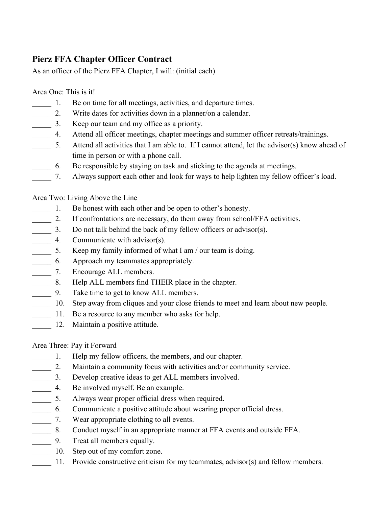# **Pierz FFA Chapter Officer Contract**

As an officer of the Pierz FFA Chapter, I will: (initial each)

## Area One: This is it!

- 1. Be on time for all meetings, activities, and departure times.
- \_\_\_\_\_ 2. Write dates for activities down in a planner/on a calendar.
- \_\_\_\_\_ 3. Keep our team and my office as a priority.
- \_\_\_\_\_ 4. Attend all officer meetings, chapter meetings and summer officer retreats/trainings.
- \_\_\_\_\_ 5. Attend all activities that I am able to. If I cannot attend, let the advisor(s) know ahead of time in person or with a phone call.
- \_\_\_\_\_ 6. Be responsible by staying on task and sticking to the agenda at meetings.
- \_\_\_\_\_ 7. Always support each other and look for ways to help lighten my fellow officer's load.

# Area Two: Living Above the Line

- 1. Be honest with each other and be open to other's honesty.
- \_\_\_\_\_ 2. If confrontations are necessary, do them away from school/FFA activities.
- \_\_\_\_\_ 3. Do not talk behind the back of my fellow officers or advisor(s).
- **4.** Communicate with advisor(s).
- 5. Keep my family informed of what I am / our team is doing.
- \_\_\_\_\_ 6. Approach my teammates appropriately.
- \_\_\_\_\_ 7. Encourage ALL members.
- \_\_\_\_\_ 8. Help ALL members find THEIR place in the chapter.
- \_\_\_\_\_ 9. Take time to get to know ALL members.
- \_\_\_\_\_ 10. Step away from cliques and your close friends to meet and learn about new people.
- \_\_\_\_\_ 11. Be a resource to any member who asks for help.
	- 12. Maintain a positive attitude.

# Area Three: Pay it Forward

- \_\_\_\_\_ 1. Help my fellow officers, the members, and our chapter.
- \_\_\_\_\_ 2. Maintain a community focus with activities and/or community service.
- \_\_\_\_\_ 3. Develop creative ideas to get ALL members involved.
- \_\_\_\_\_ 4. Be involved myself. Be an example.
- \_\_\_\_\_ 5. Always wear proper official dress when required.
- \_\_\_\_\_ 6. Communicate a positive attitude about wearing proper official dress.
- \_\_\_\_\_ 7. Wear appropriate clothing to all events.
- \_\_\_\_\_ 8. Conduct myself in an appropriate manner at FFA events and outside FFA.
- **\_\_\_\_\_** 9. Treat all members equally.
- 10. Step out of my comfort zone.
- 11. Provide constructive criticism for my teammates, advisor(s) and fellow members.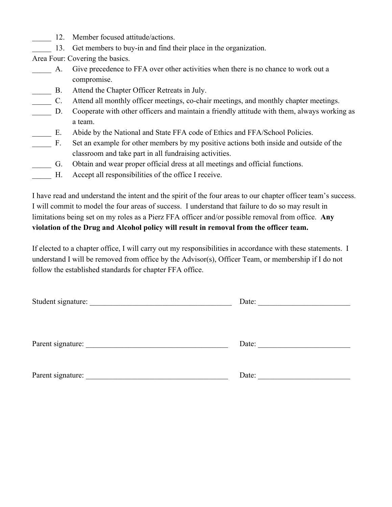- 12. Member focused attitude/actions.
- 13. Get members to buy-in and find their place in the organization.

Area Four: Covering the basics.

- \_\_\_\_\_ A. Give precedence to FFA over other activities when there is no chance to work out a compromise.
- \_\_\_\_\_ B. Attend the Chapter Officer Retreats in July.
- \_\_\_\_\_ C. Attend all monthly officer meetings, cochair meetings, and monthly chapter meetings.
- \_\_\_\_\_ D. Cooperate with other officers and maintain a friendly attitude with them, always working as a team.
- \_\_\_\_\_ E. Abide by the National and State FFA code of Ethics and FFA/School Policies.
- \_\_\_\_\_ F. Set an example for other members by my positive actions both inside and outside of the classroom and take part in all fundraising activities.
- \_\_\_\_\_ G. Obtain and wear proper official dress at all meetings and official functions.
- H. Accept all responsibilities of the office I receive.

I have read and understand the intent and the spirit of the four areas to our chapter officer team's success. I will commit to model the four areas of success. I understand that failure to do so may result in limitations being set on my roles as a Pierz FFA officer and/or possible removal from office. **Any violation of the Drug and Alcohol policy will result in removal from the officer team.**

If elected to a chapter office, I will carry out my responsibilities in accordance with these statements. I understand I will be removed from office by the Advisor(s), Officer Team, or membership if I do not follow the established standards for chapter FFA office.

| Student signature: _________ | Date: |
|------------------------------|-------|
| Parent signature:            | Date: |
| Parent signature:            | Date: |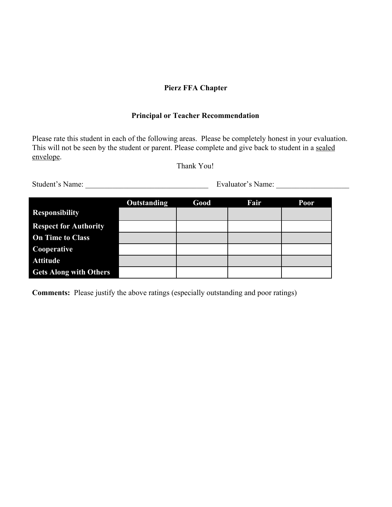## **Pierz FFA Chapter**

### **Principal or Teacher Recommendation**

Please rate this student in each of the following areas. Please be completely honest in your evaluation. This will not be seen by the student or parent. Please complete and give back to student in a sealed envelope.

Thank You!

Student's Name: \_\_\_\_\_\_\_\_\_\_\_\_\_\_\_\_\_\_\_\_\_\_\_\_\_\_\_\_\_\_\_\_ Evaluator's Name: \_\_\_\_\_\_\_\_\_\_\_\_\_\_\_\_\_\_\_

|                               | Outstanding | Good | Fair | <b>Poor</b> |
|-------------------------------|-------------|------|------|-------------|
| <b>Responsibility</b>         |             |      |      |             |
| <b>Respect for Authority</b>  |             |      |      |             |
| <b>On Time to Class</b>       |             |      |      |             |
| Cooperative                   |             |      |      |             |
| <b>Attitude</b>               |             |      |      |             |
| <b>Gets Along with Others</b> |             |      |      |             |

**Comments:** Please justify the above ratings (especially outstanding and poor ratings)